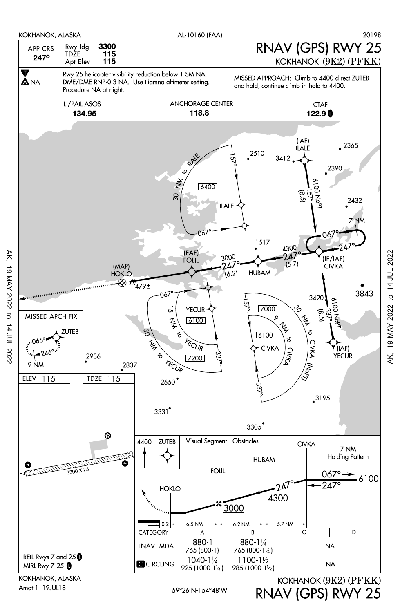

Amdt 1 19JUL18

AK, 19 MAY 2022 to 14 JUL 2022

 $\sigma$ 

14 JUL 2022

19 MAY 2022

Ж,

RNAV (GPS) RWY 25